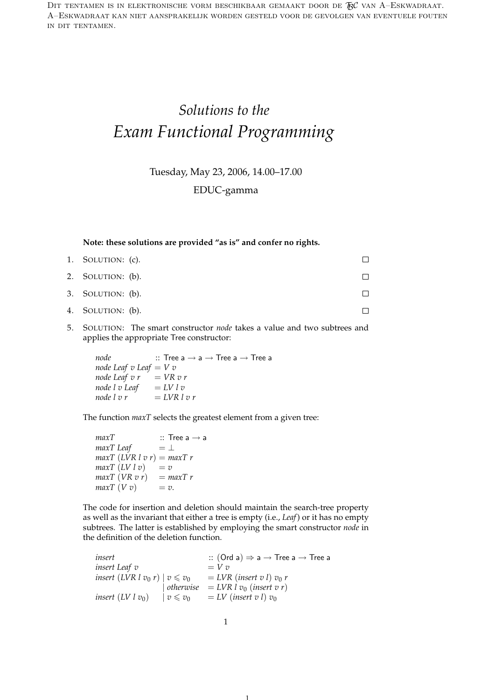DIT TENTAMEN IS IN ELEKTRONISCHE VORM BESCHIKBAAR GEMAAKT DOOR DE  $\mathcal{F}\mathcal{C}$  van A–Eskwadraat. A–Eskwadraat kan niet aansprakelijk worden gesteld voor de gevolgen van eventuele fouten in dit tentamen.

## *Solutions to the Exam Functional Programming*

Tuesday, May 23, 2006, 14.00–17.00

EDUC-gamma

**Note: these solutions are provided "as is" and confer no rights.**

| 1. SOLUTION: (c). |  |
|-------------------|--|
| 2. SOLUTION: (b). |  |
| 3. SOLUTION: (b). |  |
| 4. SOLUTION: (b). |  |

5. SOLUTION: The smart constructor *node* takes a value and two subtrees and applies the appropriate Tree constructor:

 $node$  :: Tree a  $\rightarrow$  a  $\rightarrow$  Tree a  $\rightarrow$  Tree a *node Leaf v Leaf* = *V v node Leaf v r* =  $VR$  *v r*  $\begin{array}{ll}\n\text{node } l \text{ } v \text{ } \text{Leaf} & = \text{LV } l \text{ } v \\
\text{node } l \text{ } v \text{ } r & = \text{LVR } l\n\end{array}$  $= LVR \, l \, v \, r$ 

The function *maxT* selects the greatest element from a given tree:

 $maxT$  :: Tree a  $\rightarrow$  a *maxT* Leaf  $= \perp$ *maxT*  $(LVR \, l \, v \, r) = maxT \, r$  $maxT (LV l v) = v$  $maxT (VR v r) = maxT r$  $maxT(Vv)$  = *v*.

The code for insertion and deletion should maintain the search-tree property as well as the invariant that either a tree is empty (i.e., *Leaf*) or it has no empty subtrees. The latter is established by employing the smart constructor *node* in the definition of the deletion function.

 $insert$  ::  $(Ord a) \Rightarrow a \rightarrow Tree a$ *insert Leaf*  $v = V v$ *insert* (*LVR l v*<sub>0</sub> *r*)  $v \le v_0$  = *LVR* (*insert v l*) *v*<sub>0</sub> *r*  $\int$  *otherwise* = *LVR*  $\int v_0$  (*insert v r*) *insert*  $(LV \mid v_0)$   $\mid v \leq v_0$   $\mid LV \mid (insert \mid v) \mid v_0$ 

1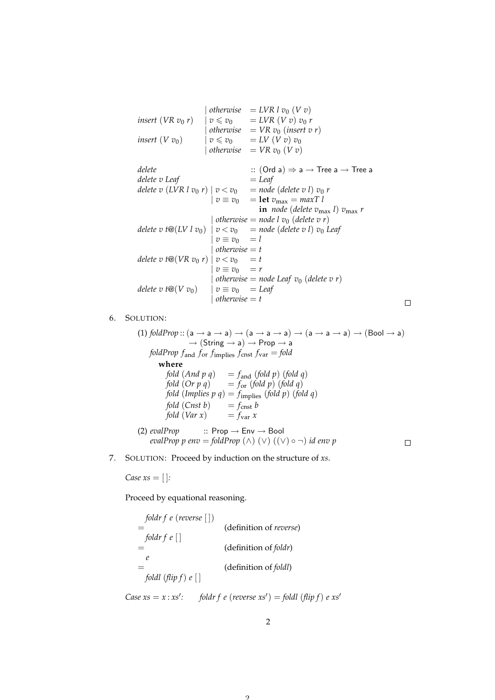|                                                                                                   |  | otherwise = LVR l $v_0$ (V v)                                                                                      |  |  |
|---------------------------------------------------------------------------------------------------|--|--------------------------------------------------------------------------------------------------------------------|--|--|
| <i>insert</i> ( <i>VR</i> $v_0$ <i>r</i> ) $v \le v_0$ = <i>LVR</i> ( <i>V v</i> ) $v_0$ <i>r</i> |  |                                                                                                                    |  |  |
|                                                                                                   |  | otherwise = $VR v_0$ (insert v r)                                                                                  |  |  |
| insert $(V v_0)$                                                                                  |  | $\overline{v} \leq v_0$ = LV $(\overline{V} \overline{v}) v_0$                                                     |  |  |
|                                                                                                   |  | otherwise = $VR v_0 (V v)$                                                                                         |  |  |
|                                                                                                   |  |                                                                                                                    |  |  |
| delete                                                                                            |  | $\therefore$ (Ord a) $\Rightarrow$ a $\rightarrow$ Tree a $\rightarrow$ Tree a                                     |  |  |
| delete v Leaf                                                                                     |  | $=$ Leaf                                                                                                           |  |  |
|                                                                                                   |  | delete v (LVR l v <sub>0</sub> r) $ v < v_0$ = node (delete v l) v <sub>0</sub> r                                  |  |  |
|                                                                                                   |  | $\overrightarrow{v} \equiv \overrightarrow{v}_0$ = let $\overrightarrow{v}_{\text{max}} = \overrightarrow{maxT} l$ |  |  |
|                                                                                                   |  | in <i>node</i> (delete $v_{\text{max}}$ l) $v_{\text{max}}$ r                                                      |  |  |
|                                                                                                   |  | otherwise = node l $v_0$ (delete v r)                                                                              |  |  |
|                                                                                                   |  | delete v t $\mathcal{Q}(LV \mid v_0)$   $v < v_0$ = node (delete v l) $v_0$ Leaf                                   |  |  |

$$
delete \, v \, \text{f@}(LV \, l \, v_0) \mid v < v_0 = node \, (delete \, v \, l) \, v_0 \, \text{Leaf} \, \text{if } v = v_0 = 1
$$
\n
$$
delete \, v \, \text{f@}(VR \, v_0 \, r) \mid v < v_0 = t
$$
\n
$$
select \, v \, \text{f@}(VR \, v_0 \, r) \mid v < v_0 = t
$$
\n
$$
v \equiv v_0 = r
$$
\n
$$
delete \, v \, \text{f@}(V \, v_0) \mid v \equiv v_0 = \text{Leaf} \, \text{otherwise} = t
$$
\n
$$
delete \, v \, \text{f@}(V \, v_0) \mid v \equiv v_0 = \text{Leaf} \, \text{otherwise} = t
$$

 $\Box$ 

## 6. SOLUTION:

(1) *foldProp* :: 
$$
(a \rightarrow a \rightarrow a) \rightarrow (a \rightarrow a \rightarrow a) \rightarrow (a \rightarrow a \rightarrow a) \rightarrow (Bool \rightarrow a)
$$
  
\n $\rightarrow (String \rightarrow a) \rightarrow Prop \rightarrow a$   
\n*foldProp f* and *for f* implies *f cr is f var = fold*  
\n**where**  
\n*fold* (*And p q*) *= f* and (*fold p*) (*fold q*)  
\n*fold* (*Or p q*) *= f* or (*fold p*) (*fold q*)  
\n*fold* (*Implies p q*) *= f* implies (*fold p*) (*fold q*)  
\n*fold* (*Const b*) *= f cr* at *b*  
\n*fold* (*Var x*) *= f var x*  
\n(2) *evalProp* :: *Prop → Env →* **Bool**  
\n*evalProp p env* = *foldProp* (*∧*) (*∨*) (*∨*) *¬*) *id env p*

7. SOLUTION: Proceed by induction on the structure of *xs*.

*Case xs* = [ ]*:*

Proceed by equational reasoning.

| $foldr f e (reverse [])$ | (definition of reverse)        |
|--------------------------|--------------------------------|
| $=$                      | (definition of <i>follow</i> ) |
| $=$                      | (definition of <i>fold</i> )   |
| $=$                      | (definition of <i>fold</i> )   |
| $foldl (flip f) e []$    |                                |

*Case xs* =  $x : xs'$ : foldr  $f$   $e$  (*reverse xs'*) = foldl ( $f$ lip  $f$ )  $e$   $xs'$ 

 $\Omega$